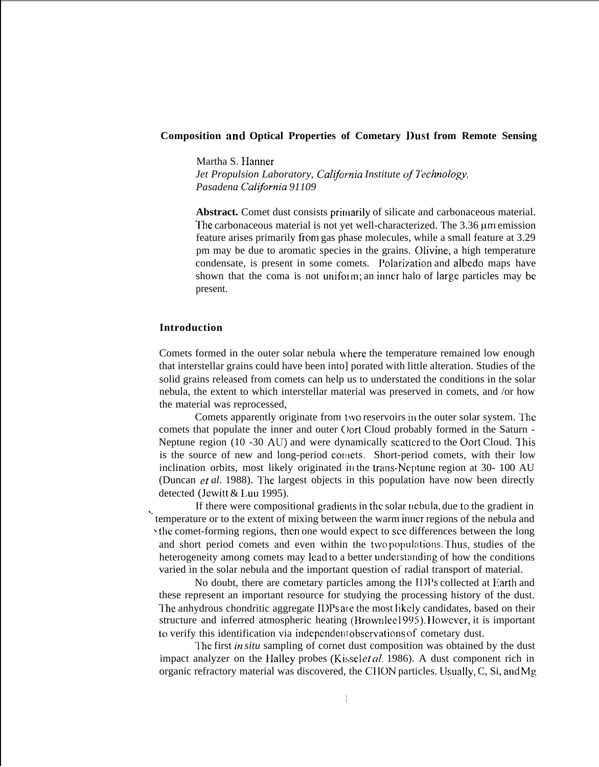### **Composition and Optical Properties of Cometary l)ust from Remote Sensing**

Martha S. Hanner *Jet Propulsion Laboratory, California Institute of Technology, Pasadena C'alijornia 91109*

Abstract. Comet dust consists primarily of silicate and carbonaceous material. The carbonaceous material is not yet well-characterized. The 3.36 um emission feature arises primarily from gas phase molecules, while a small feature at 3.29 pm may be due to aromatic species in the grains. Olivine, a high temperature condensate, is present in some comets. l'olarixation and albedo maps have shown that the coma is not uniform; an inner halo of large particles may be present.

### **Introduction**

Comets formed in the outer solar nebula \vhere the temperature remained low enough that interstellar grains could have been into] porated with little alteration. Studies of the solid grains released from comets can help us to understated the conditions in the solar nebula, the extent to which interstellar material was preserved in comets, and /or how the material was reprocessed,

Comets apparently originate from two reservoirs in the outer solar system. The comets that populate the inner and outer (Jort Cloud probably formed in the Saturn - Neptune region  $(10 -30 \text{ AU})$  and were dynamically scattered to the Oort Cloud. This is the source of new and long-period cornets. Short-period comets, with their low inclination orbits, most likely originated in the trans-Neptune region at  $30-100$  AU (Duncan *et al.* 1988). The largest objects in this population have now been directly detected (Jewitt & Luu 1995).

If there were compositional gradients in the solar nebula, due to the gradient in '" temperature or to the extent of mixing between the warm inner regions of the nebula and ' the comet-forming regions, then one would expect to see differences between the long and short period comets and even within the two populations. Thus, studies of the heterogeneity among comets may lead to a better understanding of how the conditions varied in the solar nebula and the important question of radial transport of material.

No doubt, there are cometary particles among the II)Ps collected at Earth and these represent an important resource for studying the processing history of the dust. The anhydrous chondritic aggregate IDPs are the most likely candidates, based on their structure and inferred atmospheric heating (Brownlee 1995). However, it is important to verify this identification via independent observations of cometary dust.

The first *in situ* sampling of cornet dust composition was obtained by the dust impact analyzer on the Halley probes (Kissel et al. 1986). A dust component rich in organic refractory material was discovered, the CI 10N particles. IJsualiy, C, Si, and Mg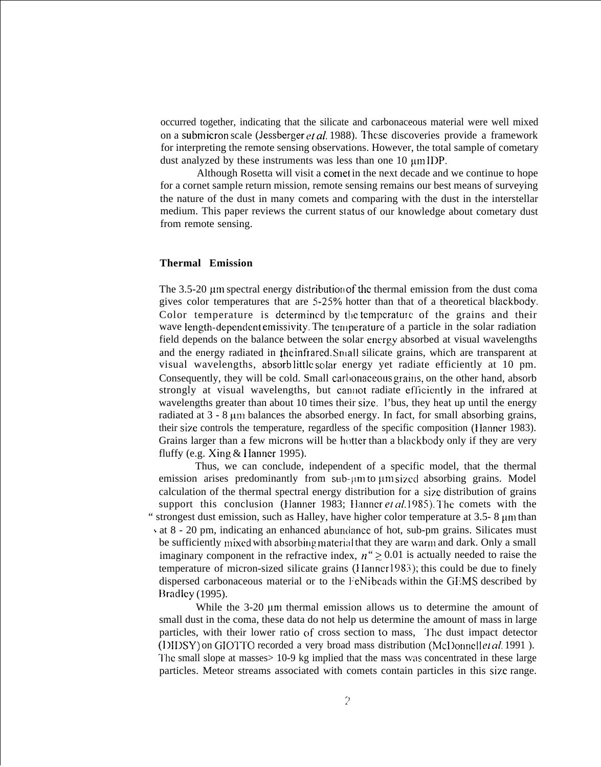occurred together, indicating that the silicate and carbonaceous material were well mixed on a submicron scale (Jessberger et al. 1988). These discoveries provide a framework for interpreting the remote sensing observations. However, the total sample of cometary dust analyzed by these instruments was less than one  $10 \mu m IDP$ .

Although Rosetta will visit a comet in the next decade and we continue to hope for a cornet sample return mission, remote sensing remains our best means of surveying the nature of the dust in many comets and comparing with the dust in the interstellar medium. This paper reviews the current status of our knowledge about cometary dust from remote sensing.

## **Thermal Emission**

The 3.5-20  $\mu$ m spectral energy distribution of the thermal emission from the dust coma gives color temperatures that are  $5-25%$  hotter than that of a theoretical blackbody. Color temperature is determined by the temperature of the grains and their wave length-dependent emissivity. The temperature of a particle in the solar radiation field depends on the balance between the solar energy absorbed at visual wavelengths and the energy radiated in the infrared. Small silicate grains, which are transparent at visual wavelengths, absorb little solar energy yet radiate efficiently at 10 pm. Consequently, they will be cold. Small carbonaceous grains, on the other hand, absorb strongly at visual wavelengths, but cannot radiate efficiently in the infrared at wavelengths greater than about 10 times their size. l'bus, they heat up until the energy radiated at  $3 - 8 \mu m$  balances the absorbed energy. In fact, for small absorbing grains, their size controls the temperature, regardless of the specific composition (Ilanncr 1983). Grains larger than a few microns will be hotter than a blackbody only if they are very fluffy (e.g. Xing  $&$  Hanner 1995).

Thus, we can conclude, independent of a specific model, that the thermal emission arises predominantly from sub- $\mu$ m to  $\mu$ m sized absorbing grains. Model calculation of the thermal spectral energy distribution for a size distribution of grains support this conclusion (Hanner 1983; Hanner et  $al$  1985). The comets with the " strongest dust emission, such as Halley, have higher color temperature at  $3.5-8 \mu m$  than s at 8 - 20 pm, indicating an enhanced abumiance of hot, sub-pm grains. Silicates must be sufficiently mixed with absorbing material that they are warm and dark. Only a small imaginary component in the refractive index,  $n'' \ge 0.01$  is actually needed to raise the temperature of micron-sized silicate grains (} Ianncr 1983); this could be due to finely dispersed carbonaceous material or to the FeNibeads within the GEMS described by Bradley (1995).

While the  $3-20$  µm thermal emission allows us to determine the amount of small dust in the coma, these data do not help us determine the amount of mass in large particles, with their lower ratio of cross section to mass, The dust impact detector (I)IDSY) on GIOTTO recorded a very broad mass distribution (McI)onnellet al. 1991). '1'hc small slope at masses> 10-9 kg implied that the mass \vas concentrated in these large particles. Meteor streams associated with comets contain particles in this size range.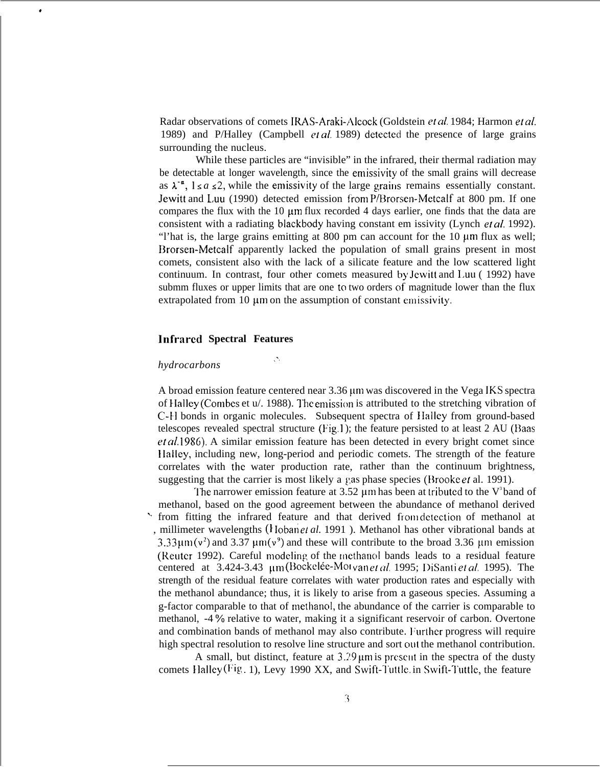Radar observations of comets IRAS-Araki-Alcock (Goldstein et al. 1984; Harmon et al. 1989) and P/Halley (Campbell  $eta$ . 1989) detected the presence of large grains surrounding the nucleus.

While these particles are "invisible" in the infrared, their thermal radiation may be detectable at longer wavelength, since the emissivity of the small grains will decrease as  $\lambda^{-\alpha}$ ,  $1 \le a \le 2$ , while the emissivity of the large grains remains essentially constant. Jewitt and L,uu (1990) detected emission from P/Brorsen-Metcalf at 800 pm. If one compares the flux with the  $10 \mu m$  flux recorded 4 days earlier, one finds that the data are consistent with a radiating blackbody having constant em issivity (Lynch et *al.* 1992). "l'hat is, the large grains emitting at 800 pm can account for the  $10 \mu m$  flux as well; Drorsen-Metcalf apparently lacked the population of small grains present in most comets, consistent also with the lack of a silicate feature and the low scattered light continuum. In contrast, four other comets measured by Jewitt and 1.UU ( 1992) have submm fluxes or upper limits that are one to two orders of magnitude lower than the flux extrapolated from 10  $\mu$ m on the assumption of constant emissivity.

## **lnfrarcd Spectral Features**

*.'.*

### *hydrocarbons*

,

A broad emission feature centered near 3.36  $\mu$ m was discovered in the Vega IKS spectra of Halley (Combes et  $\mu$ ). 1988). The emission is attributed to the stretching vibration of C-H bonds in organic molecules. Subsequent spectra of Halley from ground-based telescopes revealed spectral structure  $(Fig.1)$ ; the feature persisted to at least 2 AU (Baas et *af.* 1986). A similar emission feature has been detected in every bright comet since <sup>1</sup> Ialley, including new, long-period and periodic comets. The strength of the feature correlates with the water production rate, rather than the continuum brightness, suggesting that the carrier is most likely a gas phase species (Brooke *et* al. 1991).

The narrower emission feature at 3.52  $\mu$ m has been at tributed to the V<sup>3</sup>band of methanol, based on the good agreement between the abundance of methanol derived from fitting the infrared feature and that derived from detection of methanol at millimeter wavelengths ( $\frac{1}{1}$  Ioban *et al.* 1991). Methanol has other vibrational bands at  $3.33 \mu m (v^2)$  and  $3.37 \mu m (v^9)$  and these will contribute to the broad 3.36  $\mu$ m emission (Reuter 1992). Careful modeling of the methanol bands leads to a residual feature centered at  $3.424-3.43 \mu m$  (Bockelée-Mot van *et al.* 1995; DiSanti *et al.* 1995). The strength of the residual feature correlates with water production rates and especially with the methanol abundance; thus, it is likely to arise from a gaseous species. Assuming a g-factor comparable to that of nwthanol, the abundance of the carrier is comparable to methanol, -4 % relative to water, making it a significant reservoir of carbon. Overtone and combination bands of methanol may also contribute. Further progress will require high spectral resolution to resolve line structure and sort out the methanol contribution.

A small, but distinct, feature at  $3.29 \mu m$  is present in the spectra of the dusty comets Halley (Fig. 1), Levy 1990 XX, and Swift-Tuttle. in Swift-Tuttle, the feature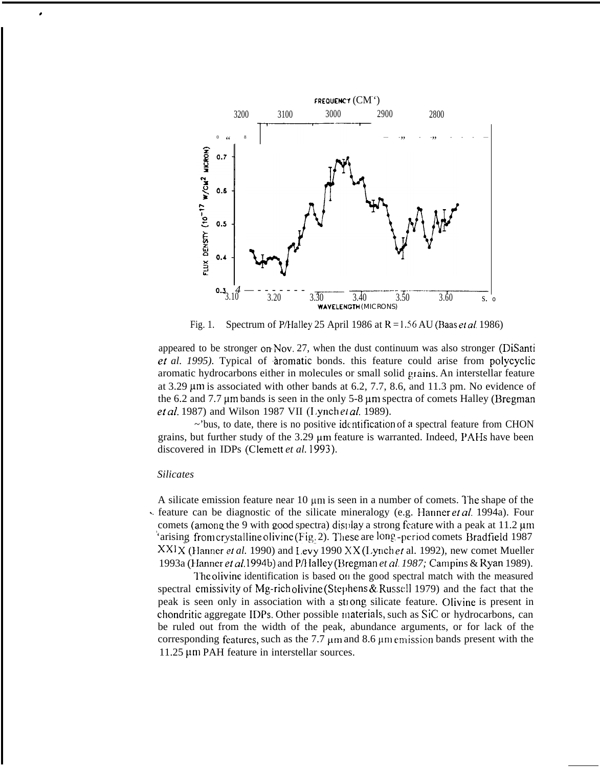

Fig. 1. Spectrum of P/Halley 25 April 1986 at  $R = 1.56$  AU (Baas et al. 1986)

appeared to be stronger on Nov. 27, when the dust continuum was also stronger ( $DiS$ anti et al. 1995). Typical of *aromatic bonds*. this feature could arise from polycyclic aromatic hydrocarbons either in molecules or small solid grains. An interstellar feature at 3.29  $\mu$ m is associated with other bands at 6.2, 7.7, 8.6, and 11.3 pm. No evidence of the  $6.2$  and  $7.7 \mu m$  bands is seen in the only  $5-8 \mu m$  spectra of comets Halley (Bregman et *al.* 1987) and Wilson 1987 VII (Lynch et *al.* 1989).

~'bus, to date, there is no positive idcntifrcation of a spectral feature from CHON grains, but further study of the  $3.29 \mu m$  feature is warranted. Indeed, PAHs have been discovered in IDPs (Clemett *et al. 1993).*

#### *Silicates*

\*

A silicate emission feature near  $10 \mu m$  is seen in a number of comets. The shape of the feature can be diagnostic of the silicate mineralogy (e.g. Hanner *et al.* 1994a). Four comets (among the 9 with good spectra) display a strong feature with a peak at 11.2  $\mu$ m 'arising from crystalline olivine (Fig. 2). These are long, -period comets Bradfield 1987  $XXIX$  (Hanner *et al.* 1990) and Levy 1990  $XX$  (Lynch *et* al. 1992), new comet Mueller 1993a (Ehanner el al. 1994b) and P/llalley (Hregman *et al. 1987;* Carnpins & Ryan 1989).

The olivine identification is based on the good spectral match with the measured spectral emissivity of Mg-rich olivine (Stephens & Russell 1979) and the fact that the peak is seen only in association with a strong, silicate feature. Olivine is present in chondritic aggregate II)Ps. Other possible lnaterials, such as SiC or hydrocarbons, can be ruled out from the width of the peak, abundance arguments, or for lack of the corresponding features, such as the 7.7  $\mu$ m and 8.6  $\mu$ m emission bands present with the 11.25 μm PAH feature in interstellar sources.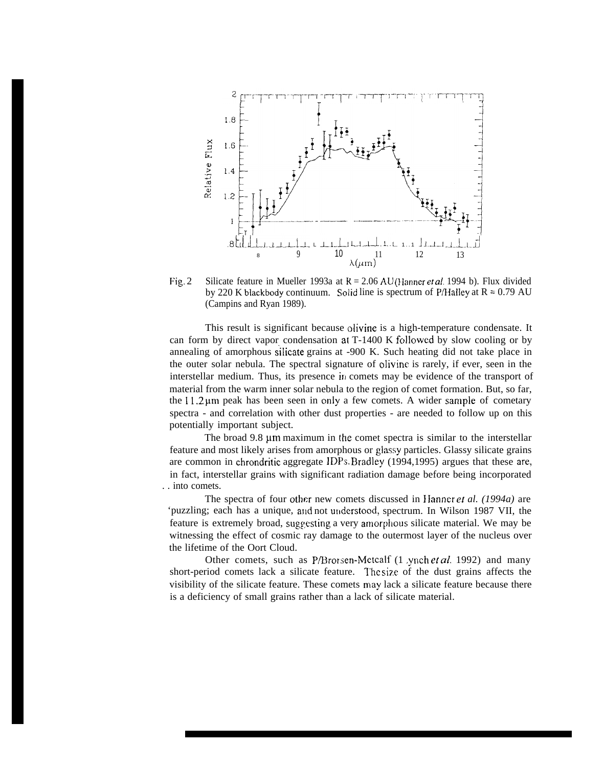

Fig. 2 Silicate feature in Mueller 1993a at R = 2.06 AU (Hanner *et al.* 1994 b). Flux divided by 220 K blackbody continuum. Solid line is spectrum of P/Halley at  $R = 0.79$  AU (Campins and Ryan 1989).

This result is significant because olivine is a high-temperature condensate. It can form by direct vapor condensation at  $T-1400 \text{ K}$  followed by slow cooling or by annealing of amorphous silicate grains at  $-900$  K. Such heating did not take place in the outer solar nebula. The spectral signature of olivinc is rarely, if ever, seen in the interstellar medium. Thus, its presence in comets may be evidence of the transport of material from the warm inner solar nebula to the region of comet formation. But, so far, the  $11.2 \mu m$  peak has been seen in only a few comets. A wider sample of cometary spectra - and correlation with other dust properties - are needed to follow up on this potentially important subject.

The broad 9.8 µm maximum in the comet spectra is similar to the interstellar feature and most likely arises from amorphous or glassy particles. Glassy silicate grains are common in chrondritic aggregate IDPs. Bradley (1994,1995) argues that these are, in fact, interstellar grains with significant radiation damage before being incorporated . . into comets.

The spectra of four other new comets discussed in }Ianner et *al. (1994a)* are 'puzzling; each has a unique, and not understood, spectrum. In Wilson 1987 VII, the feature is extremely broad, suggesting a very amorphous silicate material. We may be witnessing the effect of cosmic ray damage to the outermost layer of the nucleus over the lifetime of the Oort Cloud.

Other comets, such as P/Brorsen-Metcalf (1 ynch et *al.* 1992) and many short-period comets lack a silicate feature. I'hc size of the dust grains affects the visibility of the silicate feature. These comets may lack a silicate feature because there is a deficiency of small grains rather than a lack of silicate material.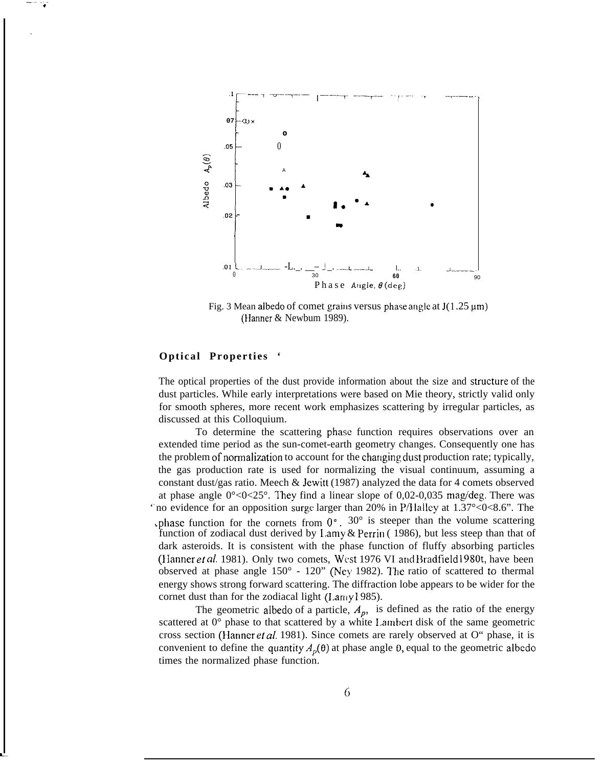

Fig. 3 Mean albedo of comet grains versus phase angle at  $J(1.25 \,\mu m)$ (Hanner  $&$  Newbum 1989).

## **Optical Properties '**

 $\ddot{\phantom{0}}$ 

L

 $- \frac{1}{4}$ 

.

The optical properties of the dust provide information about the size and structure of the dust particles. While early interpretations were based on Mie theory, strictly valid only for smooth spheres, more recent work emphasizes scattering by irregular particles, as discussed at this Colloquium.

To determine the scattering phase function requires observations over an extended time period as the sun-comet-earth geometry changes. Consequently one has the problem of normalization to account for the changing dust production rate; typically, the gas production rate is used for normalizing the visual continuum, assuming a constant dust/gas ratio. Meech & Jewitt (1987) analyzed the data for 4 comets observed at phase angle  $0^{\circ}$ <0<25°. They find a linear slope of 0,02-0,035 mag/deg. There was no evidence for an opposition surge larger than 20% in P/Halley at  $1.37^{\circ}$ <0<8.6". The whase function for the cornets from  $0^{\circ}$ .  $30^{\circ}$  is steeper than the volume scattering function of zodiacal dust derived by Lamy & Perrin (1986), but less steep than that of dark asteroids. It is consistent with the phase function of fluffy absorbing particles (Hanner et al. 1981). Only two comets, West 1976 VI and Bradfield 1980t, have been observed at phase angle  $150^{\circ}$  -  $120^{\circ}$  (Ney 1982). The ratio of scattered to thermal energy shows strong forward scattering. The diffraction lobe appears to be wider for the cornet dust than for the zodiacal light (Laniy 1985).

The geometric albedo of a particle,  $A_p$ , is defined as the ratio of the energy scattered at  $0^{\circ}$  phase to that scattered by a white Lambert disk of the same geometric cross section (Hanner et al. 1981). Since comets are rarely observed at O" phase, it is convenient to define the quantity  $A<sub>p</sub>(\theta)$  at phase angle 0, equal to the geometric albedo times the normalized phase function.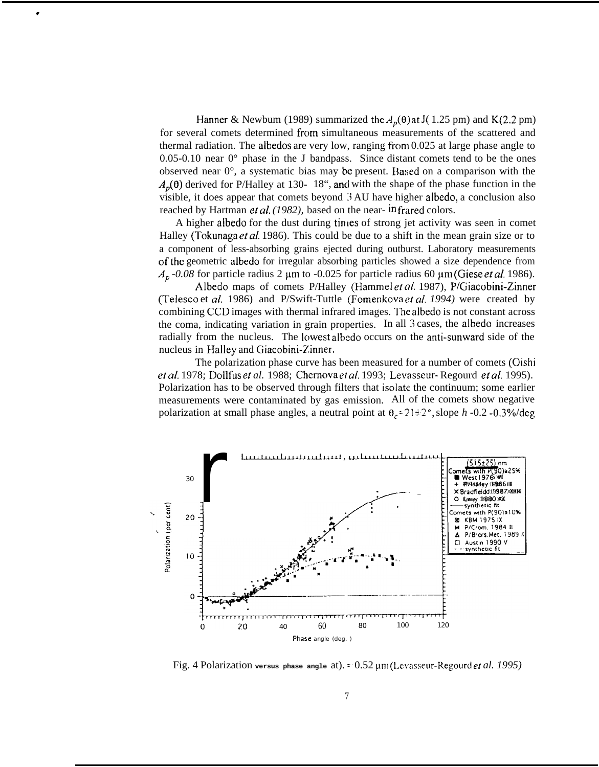Hanner & Newbum (1989) summarized the  $A_p(\theta)$  at J( 1.25 pm) and K(2.2 pm) for several comets determined from simultaneous measurements of the scattered and thermal radiation. The albedos are very low, ranging from 0.025 at large phase angle to 0.05-0.10 near  $0^{\circ}$  phase in the J bandpass. Since distant comets tend to be the ones observed near 0°, a systematic bias may be present. Elased on a comparison with the  $A_p(\theta)$  derived for P/Halley at 130-18", and with the shape of the phase function in the visible, it does appear that comets beyond 3 AU have higher albedo, a conclusion also reached by Hartman *et al.* (1982), based on the near- in frared colors.

÷

A higher albedo for the dust during times of strong jet activity was seen in comet Halley (Tokunaga er *al* 1986). This could be due to a shift in the mean grain size or to a component of less-absorbing grains ejected during outburst. Laboratory measurements ofthc geometric albedo for irregular absorbing particles showed a size dependence from  $A_p$  -0.08 for particle radius 2  $\mu$ m to -0.025 for particle radius 60  $\mu$ m (Giese *et al.* 1986).

Albedo maps of comets P/Halley (Hammel et al. 1987), P/Giacobini-Zinner (Telesco et *al.* 1986) and P/Swift-Tuttle (Fomenkova er *af. 1994)* were created by combining CCD images with thermal infrared images. The albedo is not constant across the coma, indicating variation in grain properties. In all 3 cases, the albedo increases radially from the nucleus. The lowest albedo occurs on the anti-sunward side of the nucleus in Halley and Giacobini-Zinner.

The polarization phase curve has been measured for a number of comets (Oishi ef *al.* 1978; Dollfus el *al.* 1988; Chemova ei *aI.* 1993; Levasseur- Regourd ef *af.* 1995). Polarization has to be observed through filters that isolate the continuum; some earlier measurements were contaminated by gas emission. All of the comets show negative polarization at small phase angles, a neutral point at  $\theta_c = 21 \pm 2^\circ$ , slope *h* -0.2 -0.3%/deg



Fig. 4 Polarization **versus phase angle** at). = 0.52 pm (1.cvasseur-Regourd et *al. 1995)*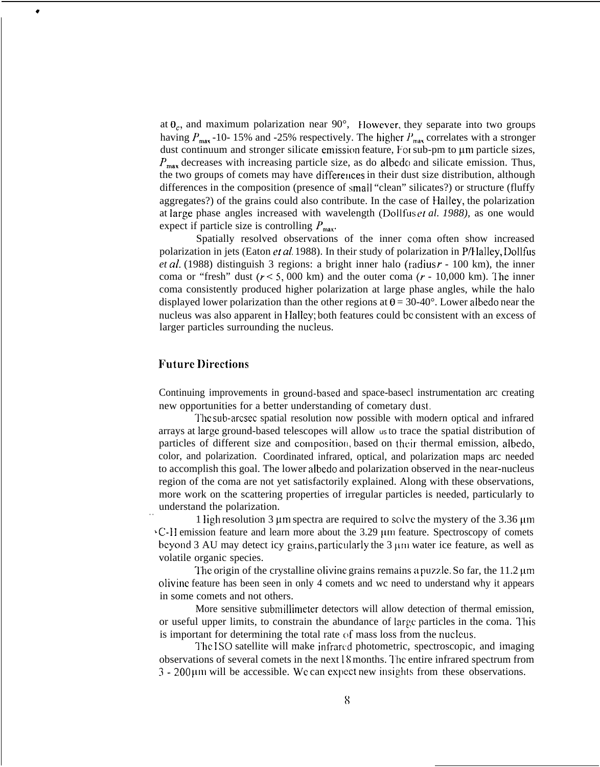at  $\theta_c$ , and maximum polarization near 90 $^{\circ}$ , However, they separate into two groups having  $P_{\text{max}}$  -10- 15% and -25% respectively. The higher  $P_{\text{max}}$  correlates with a stronger dust continuum and stronger silicate emission feature, For sub-pm to um particle sizes,  $P_{\text{max}}$  decreases with increasing particle size, as do albedo and silicate emission. Thus, the two groups of comets may have differences in their dust size distribution, although differences in the composition (presence of small "clean" silicates?) or structure (fluffy aggregates?) of the grains could also contribute. In the case of Haltey, the polarization at large phase angles increased with wavelength (Dollfus et al. 1988), as one would expect if particle size is controlling  $P_{\text{max}}$ .

Spatially resolved observations of the inner coma often show increased polarization in jets (Eaton *et al.* 1988). In their study of polarization in  $P/H\text{alley},\text{Dollfus}$ *et al.* (1988) distinguish 3 regions: a bright inner halo (radius  $r - 100$  km), the inner coma or "fresh" dust ( $r < 5,000$  km) and the outer coma ( $r - 10,000$  km). The inner coma consistently produced higher polarization at large phase angles, while the halo displayed lower polarization than the other regions at  $\theta = 30{\text -}40^{\circ}$ . Lower albedo near the nucleus was also apparent in EIaIley; both features could bc consistent with an excess of larger particles surrounding the nucleus.

# $F$ uture *Directions*

. .

٠

Continuing improvements in ground-based and space-basecl instrumentation arc creating new opportunities for a better understanding of cometary dust.

The sub-arcsec spatial resolution now possible with modern optical and infrared arrays at large ground-based telescopes will allow us to trace the spatial distribution of particles of different size and composition, based on their thermal emission, albedo, color, and polarization. Coordinated infrared, optical, and polarization maps arc needed to accomplish this goal. The lower albedo and polarization observed in the near-nucleus region of the coma are not yet satisfactorily explained. Along with these observations, more work on the scattering properties of irregular particles is needed, particularly to understand the polarization.

1 ligh resolution 3  $\mu$ m spectra are required to solve the mystery of the 3.36  $\mu$ m ~C-1 I emission feature and learn more about the 3.29 pm feature. Spectroscopy of comets beyond 3 AU may detect icy grains, particularly the  $3 \mu m$  water ice feature, as well as volatile organic species.

The origin of the crystalline olivine grains remains a puzzle. So far, the  $11.2 \mu m$ olivine feature has been seen in only 4 comets and wc need to understand why it appears in some comets and not others.

More sensitive submillimeter detectors will allow detection of thermal emission, or useful upper limits, to constrain the abundance of large particles in the coma. This is important for determining the total rate of mass loss from the nucleus.

The ISO satellite will make infrared photometric, spectroscopic, and imaging observations of several comets in the next  $\frac{1}{8}$  months. The entire infrared spectrum from  $3 - 200 \mu m$  will be accessible. We can expect new insights from these observations.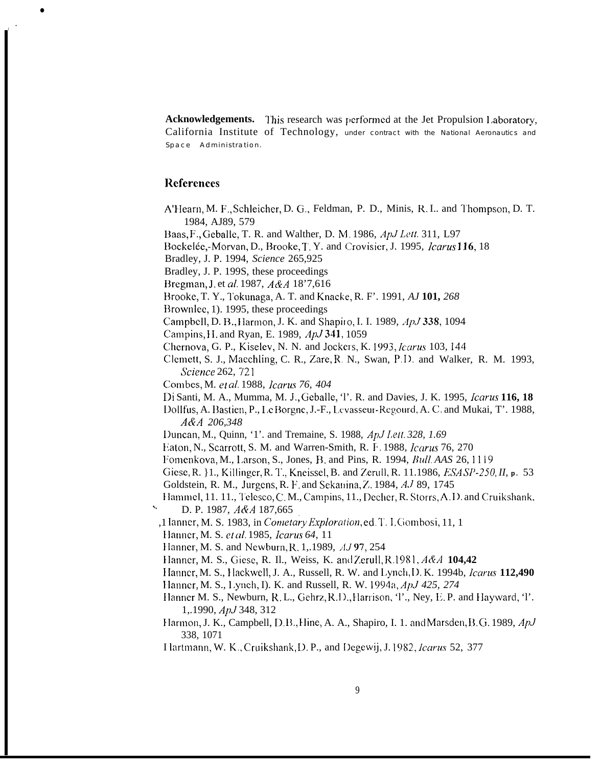Acknowledgements. This research was performed at the Jet Propulsion Laboratory, California Institute of Technology, under contract with the National Aeronautics and Space Administration.

## **References**

- A'Hearn, M. F., Schleicher, D. G., Feldman, P. D., Minis, R. I.. and Thompson, D. T. 1984, AJ89, 579
- Baas, F., Geballe, T. R. and Walther, D. M. 1986, ApJ Lett. 311, L97
- Bockelée,-Morvan, D., Brooke, T. Y. and Crovisier, J. 1995, Icarus 116, 18
- Bradley, J. P. 1994, Science 265,925
- Bradley, J. P. 199S, these proceedings
- Bregman, J. et al. 1987, A&A 18'7,616
- Brooke, T. Y., Tokunaga, A. T. and Knacke, R. F'. 1991, AJ 101, 268
- Brownlee, 1). 1995, these proceedings
- Campbell, D. B., Harmon, J. K. and Shapiro, I. I. 1989, ApJ 338, 1094
- Campins, H. and Ryan, E. 1989, ApJ 341, 1059
- Chernova, G. P., Kiselev, N. N. and Jockers, K. 1993, Icarus 103, 144
- Clemett, S. J., Maechling, C. R., Zare, R. N., Swan, P.D. and Walker, R. M. 1993, Science 262, 721
- Combes, M. et al. 1988, Icarus 76, 404
- Di Santi, M. A., Mumma, M. J., Geballe, 'l'. R. and Davies, J. K. 1995, Icarus 116, 18
- Dollfus, A. Bastien, P., Le Borgne, J.-F., Levasseur-Regourd, A. C. and Mukai, T'. 1988, A&A 206,348
- Duncan, M., Quinn, '1'. and Tremaine, S. 1988, ApJ Lett. 328, 1.69
- Eaton, N., Scarrott, S. M. and Warren-Smith, R. F. 1988, *Jearus* 76, 270
- Fomenkova, M., Larson, S., Jones, B. and Pins, R. 1994, Bull. AAS 26, 1119
- Giese, R.  $\{1, K\}$ , Killinger, R. T., Kneissel, B. and Zerull, R. 11.1986, ESA SP-250, II, p. 53 Goldstein, R. M., Jurgens, R. F. and Sekanina, Z. 1984, AJ 89, 1745
- Hammel, 11. 11., Telesco, C.M., Campins, 11., Decher, R. Storrs, A.D. and Cruikshank, D. P. 1987, A&A 187,665
- ,1 Ianner, M. S. 1983, in Cometary Exploration, ed. T. I. Gombosi, 11, 1
- Hanner, M. S. et al. 1985, Icarus 64, 11
- Hanner, M. S. and Newburn, R. 1, 1989, AJ 97, 254
- Hanner, M. S., Giese, R. Il., Weiss, K. and Zerull, R.1981, A&A 104,42
- Hanner, M. S., Hackwell, J. A., Russell, R. W. and Lynch, D. K. 1994b, *Icarus* 112,490
- Hanner, M. S., Lynch, I). K. and Russell, R. W. 1994a, ApJ 425, 274
- Hanner M. S., Newburn, R. L., Gehrz, R. D., Harrison, T., Ney, E. P. and Hayward, T. 1, 1990, ApJ 348, 312
- Harmon, J. K., Campbell, D.B., Hine, A. A., Shapiro, I. 1. and Marsden, B.G. 1989, ApJ 338, 1071
- Hartmann, W. K., Cruikshank, D. P., and Degewij, J. 1982, Icarus 52, 377